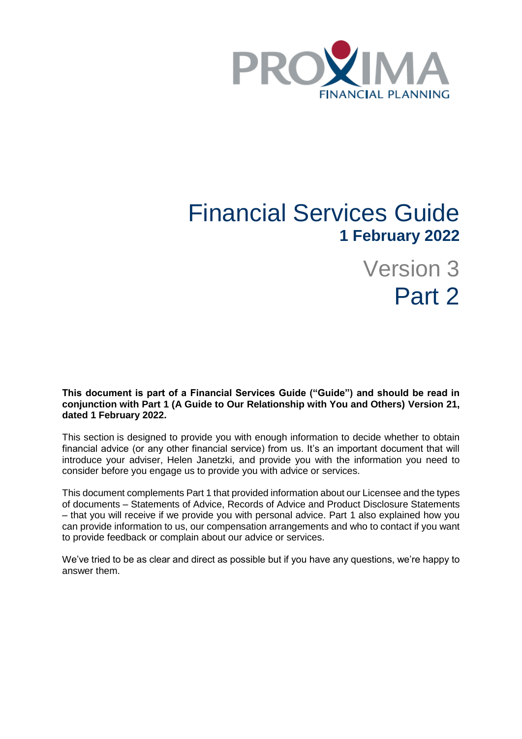

# Financial Services Guide **1 February 2022**

Version 3 Part 2

**This document is part of a Financial Services Guide ("Guide") and should be read in conjunction with Part 1 (A Guide to Our Relationship with You and Others) Version 21, dated 1 February 2022.**

This section is designed to provide you with enough information to decide whether to obtain financial advice (or any other financial service) from us. It's an important document that will introduce your adviser, Helen Janetzki, and provide you with the information you need to consider before you engage us to provide you with advice or services.

This document complements Part 1 that provided information about our Licensee and the types of documents – Statements of Advice, Records of Advice and Product Disclosure Statements – that you will receive if we provide you with personal advice. Part 1 also explained how you can provide information to us, our compensation arrangements and who to contact if you want to provide feedback or complain about our advice or services.

We've tried to be as clear and direct as possible but if you have any questions, we're happy to answer them.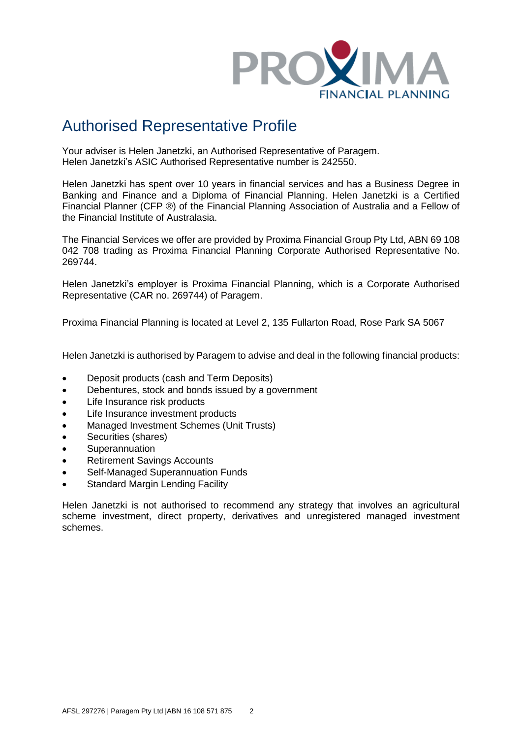

# Authorised Representative Profile

Your adviser is Helen Janetzki, an Authorised Representative of Paragem. Helen Janetzki's ASIC Authorised Representative number is 242550.

Helen Janetzki has spent over 10 years in financial services and has a Business Degree in Banking and Finance and a Diploma of Financial Planning. Helen Janetzki is a Certified Financial Planner (CFP ®) of the Financial Planning Association of Australia and a Fellow of the Financial Institute of Australasia.

The Financial Services we offer are provided by Proxima Financial Group Pty Ltd, ABN 69 108 042 708 trading as Proxima Financial Planning Corporate Authorised Representative No. 269744.

Helen Janetzki's employer is Proxima Financial Planning, which is a Corporate Authorised Representative (CAR no. 269744) of Paragem.

Proxima Financial Planning is located at Level 2, 135 Fullarton Road, Rose Park SA 5067

Helen Janetzki is authorised by Paragem to advise and deal in the following financial products:

- Deposit products (cash and Term Deposits)
- Debentures, stock and bonds issued by a government
- Life Insurance risk products
- Life Insurance investment products
- Managed Investment Schemes (Unit Trusts)
- Securities (shares)
- Superannuation
- Retirement Savings Accounts
- Self-Managed Superannuation Funds
- Standard Margin Lending Facility

Helen Janetzki is not authorised to recommend any strategy that involves an agricultural scheme investment, direct property, derivatives and unregistered managed investment schemes.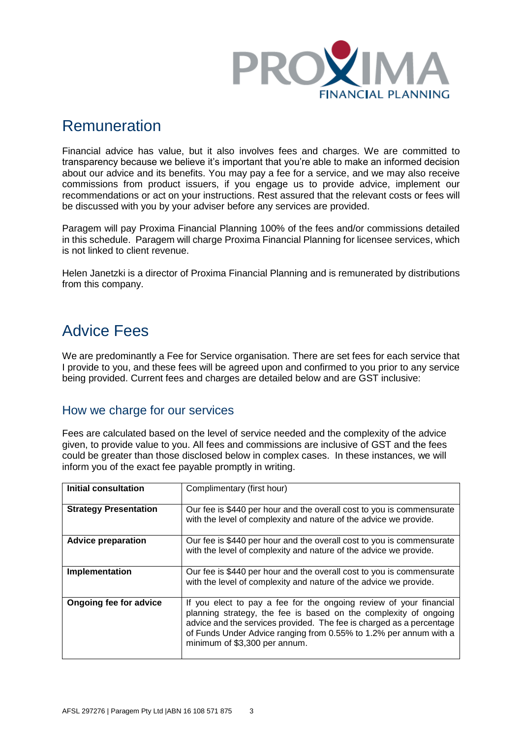

### Remuneration

Financial advice has value, but it also involves fees and charges. We are committed to transparency because we believe it's important that you're able to make an informed decision about our advice and its benefits. You may pay a fee for a service, and we may also receive commissions from product issuers, if you engage us to provide advice, implement our recommendations or act on your instructions. Rest assured that the relevant costs or fees will be discussed with you by your adviser before any services are provided.

Paragem will pay Proxima Financial Planning 100% of the fees and/or commissions detailed in this schedule. Paragem will charge Proxima Financial Planning for licensee services, which is not linked to client revenue.

Helen Janetzki is a director of Proxima Financial Planning and is remunerated by distributions from this company.

# Advice Fees

We are predominantly a Fee for Service organisation. There are set fees for each service that I provide to you, and these fees will be agreed upon and confirmed to you prior to any service being provided. Current fees and charges are detailed below and are GST inclusive:

### How we charge for our services

Fees are calculated based on the level of service needed and the complexity of the advice given, to provide value to you. All fees and commissions are inclusive of GST and the fees could be greater than those disclosed below in complex cases. In these instances, we will inform you of the exact fee payable promptly in writing.

| <b>Initial consultation</b>  | Complimentary (first hour)                                                                                                                                                                                                                                                                                           |
|------------------------------|----------------------------------------------------------------------------------------------------------------------------------------------------------------------------------------------------------------------------------------------------------------------------------------------------------------------|
| <b>Strategy Presentation</b> | Our fee is \$440 per hour and the overall cost to you is commensurate<br>with the level of complexity and nature of the advice we provide.                                                                                                                                                                           |
| <b>Advice preparation</b>    | Our fee is \$440 per hour and the overall cost to you is commensurate<br>with the level of complexity and nature of the advice we provide.                                                                                                                                                                           |
| Implementation               | Our fee is \$440 per hour and the overall cost to you is commensurate<br>with the level of complexity and nature of the advice we provide.                                                                                                                                                                           |
| Ongoing fee for advice       | If you elect to pay a fee for the ongoing review of your financial<br>planning strategy, the fee is based on the complexity of ongoing<br>advice and the services provided. The fee is charged as a percentage<br>of Funds Under Advice ranging from 0.55% to 1.2% per annum with a<br>minimum of \$3,300 per annum. |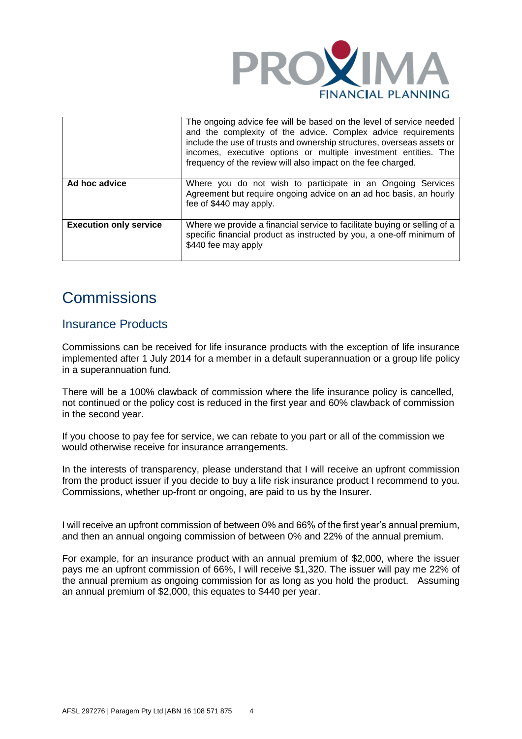

|                               | The ongoing advice fee will be based on the level of service needed<br>and the complexity of the advice. Complex advice requirements<br>include the use of trusts and ownership structures, overseas assets or<br>incomes, executive options or multiple investment entities. The<br>frequency of the review will also impact on the fee charged. |
|-------------------------------|---------------------------------------------------------------------------------------------------------------------------------------------------------------------------------------------------------------------------------------------------------------------------------------------------------------------------------------------------|
| Ad hoc advice                 | Where you do not wish to participate in an Ongoing Services<br>Agreement but require ongoing advice on an ad hoc basis, an hourly<br>fee of \$440 may apply.                                                                                                                                                                                      |
| <b>Execution only service</b> | Where we provide a financial service to facilitate buying or selling of a<br>specific financial product as instructed by you, a one-off minimum of<br>\$440 fee may apply                                                                                                                                                                         |

# **Commissions**

### Insurance Products

Commissions can be received for life insurance products with the exception of life insurance implemented after 1 July 2014 for a member in a default superannuation or a group life policy in a superannuation fund.

There will be a 100% clawback of commission where the life insurance policy is cancelled, not continued or the policy cost is reduced in the first year and 60% clawback of commission in the second year.

If you choose to pay fee for service, we can rebate to you part or all of the commission we would otherwise receive for insurance arrangements.

In the interests of transparency, please understand that I will receive an upfront commission from the product issuer if you decide to buy a life risk insurance product I recommend to you. Commissions, whether up-front or ongoing, are paid to us by the Insurer.

I will receive an upfront commission of between 0% and 66% of the first year's annual premium, and then an annual ongoing commission of between 0% and 22% of the annual premium.

For example, for an insurance product with an annual premium of \$2,000, where the issuer pays me an upfront commission of 66%, I will receive \$1,320. The issuer will pay me 22% of the annual premium as ongoing commission for as long as you hold the product. Assuming an annual premium of \$2,000, this equates to \$440 per year.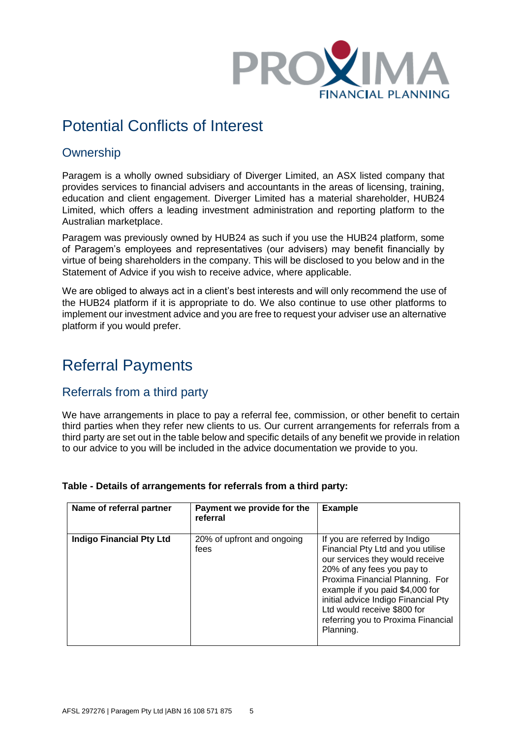

# Potential Conflicts of Interest

### **Ownership**

Paragem is a wholly owned subsidiary of Diverger Limited, an ASX listed company that provides services to financial advisers and accountants in the areas of licensing, training, education and client engagement. Diverger Limited has a material shareholder, HUB24 Limited, which offers a leading investment administration and reporting platform to the Australian marketplace.

Paragem was previously owned by HUB24 as such if you use the HUB24 platform, some of Paragem's employees and representatives (our advisers) may benefit financially by virtue of being shareholders in the company. This will be disclosed to you below and in the Statement of Advice if you wish to receive advice, where applicable.

We are obliged to always act in a client's best interests and will only recommend the use of the HUB24 platform if it is appropriate to do. We also continue to use other platforms to implement our investment advice and you are free to request your adviser use an alternative platform if you would prefer.

# Referral Payments

### Referrals from a third party

We have arrangements in place to pay a referral fee, commission, or other benefit to certain third parties when they refer new clients to us. Our current arrangements for referrals from a third party are set out in the table below and specific details of any benefit we provide in relation to our advice to you will be included in the advice documentation we provide to you.

| Name of referral partner        | Payment we provide for the<br>referral | <b>Example</b>                                                                                                                                                                                                                                                                                                                     |
|---------------------------------|----------------------------------------|------------------------------------------------------------------------------------------------------------------------------------------------------------------------------------------------------------------------------------------------------------------------------------------------------------------------------------|
| <b>Indigo Financial Pty Ltd</b> | 20% of upfront and ongoing<br>fees     | If you are referred by Indigo<br>Financial Pty Ltd and you utilise<br>our services they would receive<br>20% of any fees you pay to<br>Proxima Financial Planning. For<br>example if you paid \$4,000 for<br>initial advice Indigo Financial Pty<br>Ltd would receive \$800 for<br>referring you to Proxima Financial<br>Planning. |

#### **Table - Details of arrangements for referrals from a third party:**